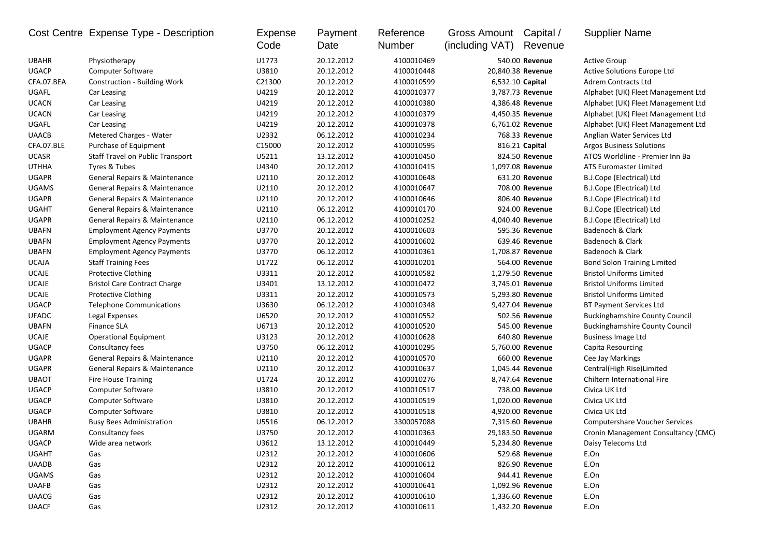|              | Cost Centre Expense Type - Description  | Expense<br>Code | Payment<br>Date | Reference<br>Number | Gross Amount<br>(including VAT) | Capital /<br>Revenue | <b>Supplier Name</b>                  |
|--------------|-----------------------------------------|-----------------|-----------------|---------------------|---------------------------------|----------------------|---------------------------------------|
| <b>UBAHR</b> | Physiotherapy                           | U1773           | 20.12.2012      | 4100010469          |                                 | 540.00 Revenue       | <b>Active Group</b>                   |
| <b>UGACP</b> | <b>Computer Software</b>                | U3810           | 20.12.2012      | 4100010448          | 20,840.38 Revenue               |                      | Active Solutions Europe Ltd           |
| CFA.07.BEA   | Construction - Building Work            | C21300          | 20.12.2012      | 4100010599          | 6,532.10 Capital                |                      | <b>Adrem Contracts Ltd</b>            |
| UGAFL        | Car Leasing                             | U4219           | 20.12.2012      | 4100010377          |                                 | 3,787.73 Revenue     | Alphabet (UK) Fleet Management Ltd    |
| <b>UCACN</b> | Car Leasing                             | U4219           | 20.12.2012      | 4100010380          |                                 | 4,386.48 Revenue     | Alphabet (UK) Fleet Management Ltd    |
| <b>UCACN</b> | Car Leasing                             | U4219           | 20.12.2012      | 4100010379          |                                 | 4,450.35 Revenue     | Alphabet (UK) Fleet Management Ltd    |
| UGAFL        | Car Leasing                             | U4219           | 20.12.2012      | 4100010378          |                                 | 6,761.02 Revenue     | Alphabet (UK) Fleet Management Ltd    |
| <b>UAACB</b> | Metered Charges - Water                 | U2332           | 06.12.2012      | 4100010234          |                                 | 768.33 Revenue       | Anglian Water Services Ltd            |
| CFA.07.BLE   | Purchase of Equipment                   | C15000          | 20.12.2012      | 4100010595          |                                 | 816.21 Capital       | <b>Argos Business Solutions</b>       |
| <b>UCASR</b> | <b>Staff Travel on Public Transport</b> | U5211           | 13.12.2012      | 4100010450          |                                 | 824.50 Revenue       | ATOS Worldline - Premier Inn Ba       |
| <b>UTHHA</b> | Tyres & Tubes                           | U4340           | 20.12.2012      | 4100010415          |                                 | 1,097.08 Revenue     | <b>ATS Euromaster Limited</b>         |
| <b>UGAPR</b> | General Repairs & Maintenance           | U2110           | 20.12.2012      | 4100010648          |                                 | 631.20 Revenue       | B.J.Cope (Electrical) Ltd             |
| <b>UGAMS</b> | General Repairs & Maintenance           | U2110           | 20.12.2012      | 4100010647          |                                 | 708.00 Revenue       | B.J.Cope (Electrical) Ltd             |
| <b>UGAPR</b> | General Repairs & Maintenance           | U2110           | 20.12.2012      | 4100010646          |                                 | 806.40 Revenue       | B.J.Cope (Electrical) Ltd             |
| <b>UGAHT</b> | General Repairs & Maintenance           | U2110           | 06.12.2012      | 4100010170          |                                 | 924.00 Revenue       | B.J.Cope (Electrical) Ltd             |
| <b>UGAPR</b> | General Repairs & Maintenance           | U2110           | 06.12.2012      | 4100010252          |                                 | 4,040.40 Revenue     | B.J.Cope (Electrical) Ltd             |
| <b>UBAFN</b> | <b>Employment Agency Payments</b>       | U3770           | 20.12.2012      | 4100010603          |                                 | 595.36 Revenue       | Badenoch & Clark                      |
| <b>UBAFN</b> | <b>Employment Agency Payments</b>       | U3770           | 20.12.2012      | 4100010602          |                                 | 639.46 Revenue       | Badenoch & Clark                      |
| <b>UBAFN</b> | <b>Employment Agency Payments</b>       | U3770           | 06.12.2012      | 4100010361          |                                 | 1,708.87 Revenue     | Badenoch & Clark                      |
| <b>UCAJA</b> | <b>Staff Training Fees</b>              | U1722           | 06.12.2012      | 4100010201          |                                 | 564.00 Revenue       | <b>Bond Solon Training Limited</b>    |
| <b>UCAJE</b> | <b>Protective Clothing</b>              | U3311           | 20.12.2012      | 4100010582          |                                 | 1,279.50 Revenue     | <b>Bristol Uniforms Limited</b>       |
| <b>UCAJE</b> | <b>Bristol Care Contract Charge</b>     | U3401           | 13.12.2012      | 4100010472          |                                 | 3,745.01 Revenue     | <b>Bristol Uniforms Limited</b>       |
| <b>UCAJE</b> | <b>Protective Clothing</b>              | U3311           | 20.12.2012      | 4100010573          |                                 | 5,293.80 Revenue     | <b>Bristol Uniforms Limited</b>       |
| <b>UGACP</b> | <b>Telephone Communications</b>         | U3630           | 06.12.2012      | 4100010348          |                                 | 9,427.04 Revenue     | <b>BT Payment Services Ltd</b>        |
| <b>UFADC</b> | Legal Expenses                          | U6520           | 20.12.2012      | 4100010552          |                                 | 502.56 Revenue       | <b>Buckinghamshire County Council</b> |
| <b>UBAFN</b> | <b>Finance SLA</b>                      | U6713           | 20.12.2012      | 4100010520          |                                 | 545.00 Revenue       | <b>Buckinghamshire County Council</b> |
| <b>UCAJE</b> | <b>Operational Equipment</b>            | U3123           | 20.12.2012      | 4100010628          |                                 | 640.80 Revenue       | <b>Business Image Ltd</b>             |
| <b>UGACP</b> | Consultancy fees                        | U3750           | 06.12.2012      | 4100010295          |                                 | 5,760.00 Revenue     | Capita Resourcing                     |
| <b>UGAPR</b> | General Repairs & Maintenance           | U2110           | 20.12.2012      | 4100010570          |                                 | 660.00 Revenue       | Cee Jay Markings                      |
| <b>UGAPR</b> | General Repairs & Maintenance           | U2110           | 20.12.2012      | 4100010637          |                                 | 1,045.44 Revenue     | Central(High Rise)Limited             |
| <b>UBAOT</b> | <b>Fire House Training</b>              | U1724           | 20.12.2012      | 4100010276          |                                 | 8,747.64 Revenue     | Chiltern International Fire           |
| <b>UGACP</b> | Computer Software                       | U3810           | 20.12.2012      | 4100010517          |                                 | 738.00 Revenue       | Civica UK Ltd                         |
| <b>UGACP</b> | Computer Software                       | U3810           | 20.12.2012      | 4100010519          |                                 | 1,020.00 Revenue     | Civica UK Ltd                         |
| <b>UGACP</b> | <b>Computer Software</b>                | U3810           | 20.12.2012      | 4100010518          |                                 | 4,920.00 Revenue     | Civica UK Ltd                         |
| <b>UBAHR</b> | <b>Busy Bees Administration</b>         | U5516           | 06.12.2012      | 3300057088          |                                 | 7,315.60 Revenue     | <b>Computershare Voucher Services</b> |
| UGARM        | Consultancy fees                        | U3750           | 20.12.2012      | 4100010363          |                                 | 29,183.50 Revenue    | Cronin Management Consultancy (CMC)   |
| <b>UGACP</b> | Wide area network                       | U3612           | 13.12.2012      | 4100010449          |                                 | 5,234.80 Revenue     | Daisy Telecoms Ltd                    |
| <b>UGAHT</b> | Gas                                     | U2312           | 20.12.2012      | 4100010606          |                                 | 529.68 Revenue       | E.On                                  |
| <b>UAADB</b> |                                         | U2312           |                 | 4100010612          |                                 | 826.90 Revenue       |                                       |
| <b>UGAMS</b> | Gas                                     | U2312           | 20.12.2012      | 4100010604          |                                 | 944.41 Revenue       | E.On                                  |
|              | Gas                                     |                 | 20.12.2012      | 4100010641          |                                 |                      | E.On                                  |
| <b>UAAFB</b> | Gas                                     | U2312           | 20.12.2012      |                     |                                 | 1,092.96 Revenue     | E.On                                  |
| <b>UAACG</b> | Gas                                     | U2312           | 20.12.2012      | 4100010610          |                                 | 1,336.60 Revenue     | E.On                                  |
| <b>UAACF</b> | Gas                                     | U2312           | 20.12.2012      | 4100010611          |                                 | 1,432.20 Revenue     | E.On                                  |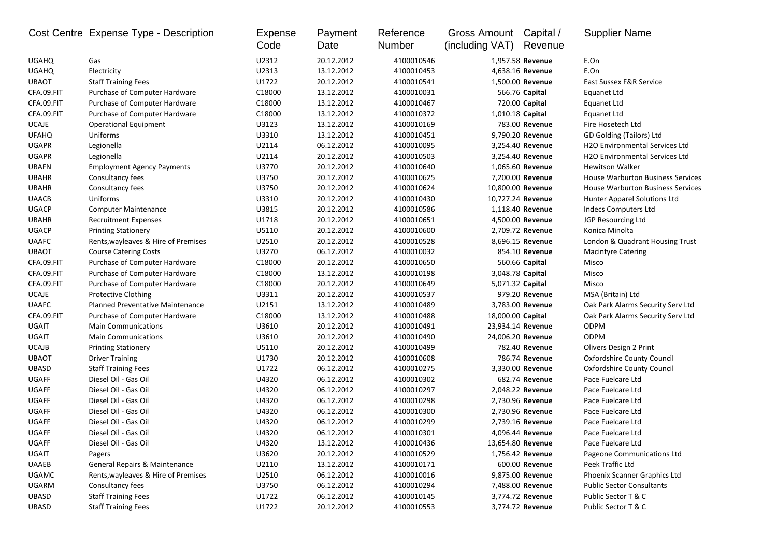|              | Cost Centre Expense Type - Description   | <b>Expense</b><br>Code | Payment<br>Date | Reference<br>Number | <b>Gross Amount</b><br>(including VAT) | Capital /<br>Revenue | <b>Supplier Name</b>                        |
|--------------|------------------------------------------|------------------------|-----------------|---------------------|----------------------------------------|----------------------|---------------------------------------------|
| <b>UGAHQ</b> | Gas                                      | U2312                  | 20.12.2012      | 4100010546          |                                        | 1,957.58 Revenue     | E.On                                        |
| <b>UGAHQ</b> | Electricity                              | U2313                  | 13.12.2012      | 4100010453          |                                        | 4,638.16 Revenue     | E.On                                        |
| <b>UBAOT</b> | <b>Staff Training Fees</b>               | U1722                  | 20.12.2012      | 4100010541          |                                        | 1,500.00 Revenue     | East Sussex F&R Service                     |
| CFA.09.FIT   | Purchase of Computer Hardware            | C18000                 | 13.12.2012      | 4100010031          |                                        | 566.76 Capital       | Equanet Ltd                                 |
| CFA.09.FIT   | Purchase of Computer Hardware            | C18000                 | 13.12.2012      | 4100010467          |                                        | 720.00 Capital       | Equanet Ltd                                 |
| CFA.09.FIT   | Purchase of Computer Hardware            | C18000                 | 13.12.2012      | 4100010372          | 1,010.18 Capital                       |                      | <b>Equanet Ltd</b>                          |
| <b>UCAJE</b> | <b>Operational Equipment</b>             | U3123                  | 13.12.2012      | 4100010169          |                                        | 783.00 Revenue       | Fire Hosetech Ltd                           |
| <b>UFAHQ</b> | Uniforms                                 | U3310                  | 13.12.2012      | 4100010451          |                                        | 9,790.20 Revenue     | GD Golding (Tailors) Ltd                    |
| <b>UGAPR</b> | Legionella                               | U2114                  | 06.12.2012      | 4100010095          |                                        | 3,254.40 Revenue     | H <sub>2</sub> O Environmental Services Ltd |
| <b>UGAPR</b> | Legionella                               | U2114                  | 20.12.2012      | 4100010503          |                                        | 3,254.40 Revenue     | H2O Environmental Services Ltd              |
| <b>UBAFN</b> | <b>Employment Agency Payments</b>        | U3770                  | 20.12.2012      | 4100010640          |                                        | 1,065.60 Revenue     | <b>Hewitson Walker</b>                      |
| <b>UBAHR</b> | Consultancy fees                         | U3750                  | 20.12.2012      | 4100010625          |                                        | 7,200.00 Revenue     | <b>House Warburton Business Services</b>    |
| <b>UBAHR</b> | Consultancy fees                         | U3750                  | 20.12.2012      | 4100010624          |                                        | 10,800.00 Revenue    | <b>House Warburton Business Services</b>    |
| <b>UAACB</b> | Uniforms                                 | U3310                  | 20.12.2012      | 4100010430          |                                        | 10,727.24 Revenue    | Hunter Apparel Solutions Ltd                |
| <b>UGACP</b> | <b>Computer Maintenance</b>              | U3815                  | 20.12.2012      | 4100010586          |                                        | 1,118.40 Revenue     | Indecs Computers Ltd                        |
| <b>UBAHR</b> | <b>Recruitment Expenses</b>              | U1718                  | 20.12.2012      | 4100010651          |                                        | 4,500.00 Revenue     | JGP Resourcing Ltd                          |
| <b>UGACP</b> | <b>Printing Stationery</b>               | U5110                  | 20.12.2012      | 4100010600          |                                        | 2,709.72 Revenue     | Konica Minolta                              |
| <b>UAAFC</b> | Rents, wayleaves & Hire of Premises      | U2510                  | 20.12.2012      | 4100010528          |                                        | 8,696.15 Revenue     | London & Quadrant Housing Trust             |
| <b>UBAOT</b> | <b>Course Catering Costs</b>             | U3270                  | 06.12.2012      | 4100010032          |                                        | 854.10 Revenue       | <b>Macintyre Catering</b>                   |
| CFA.09.FIT   | Purchase of Computer Hardware            | C18000                 | 20.12.2012      | 4100010650          |                                        | 560.66 Capital       | Misco                                       |
| CFA.09.FIT   | Purchase of Computer Hardware            | C18000                 | 13.12.2012      | 4100010198          | 3,048.78 Capital                       |                      | Misco                                       |
| CFA.09.FIT   | Purchase of Computer Hardware            | C18000                 | 20.12.2012      | 4100010649          | 5,071.32 Capital                       |                      | Misco                                       |
| <b>UCAJE</b> | <b>Protective Clothing</b>               | U3311                  | 20.12.2012      | 4100010537          |                                        | 979.20 Revenue       | MSA (Britain) Ltd                           |
| <b>UAAFC</b> | Planned Preventative Maintenance         | U2151                  | 13.12.2012      | 4100010489          |                                        | 3,783.00 Revenue     | Oak Park Alarms Security Serv Ltd           |
| CFA.09.FIT   | Purchase of Computer Hardware            | C18000                 | 13.12.2012      | 4100010488          | 18,000.00 Capital                      |                      | Oak Park Alarms Security Serv Ltd           |
| <b>UGAIT</b> | <b>Main Communications</b>               | U3610                  | 20.12.2012      | 4100010491          |                                        | 23,934.14 Revenue    | <b>ODPM</b>                                 |
| UGAIT        | <b>Main Communications</b>               | U3610                  | 20.12.2012      | 4100010490          |                                        | 24,006.20 Revenue    | <b>ODPM</b>                                 |
| <b>UCAJB</b> | <b>Printing Stationery</b>               | U5110                  | 20.12.2012      | 4100010499          |                                        | 782.40 Revenue       | Olivers Design 2 Print                      |
| <b>UBAOT</b> | <b>Driver Training</b>                   | U1730                  | 20.12.2012      | 4100010608          |                                        | 786.74 Revenue       | <b>Oxfordshire County Council</b>           |
| <b>UBASD</b> | <b>Staff Training Fees</b>               | U1722                  | 06.12.2012      | 4100010275          |                                        | 3,330.00 Revenue     | <b>Oxfordshire County Council</b>           |
| <b>UGAFF</b> | Diesel Oil - Gas Oil                     | U4320                  | 06.12.2012      | 4100010302          |                                        | 682.74 Revenue       | Pace Fuelcare Ltd                           |
| UGAFF        | Diesel Oil - Gas Oil                     | U4320                  | 06.12.2012      | 4100010297          |                                        | 2,048.22 Revenue     | Pace Fuelcare Ltd                           |
| <b>UGAFF</b> | Diesel Oil - Gas Oil                     | U4320                  | 06.12.2012      | 4100010298          |                                        | 2,730.96 Revenue     | Pace Fuelcare Ltd                           |
| <b>UGAFF</b> | Diesel Oil - Gas Oil                     | U4320                  | 06.12.2012      | 4100010300          |                                        | 2,730.96 Revenue     | Pace Fuelcare Ltd                           |
| <b>UGAFF</b> | Diesel Oil - Gas Oil                     | U4320                  | 06.12.2012      | 4100010299          |                                        | 2,739.16 Revenue     | Pace Fuelcare Ltd                           |
| <b>UGAFF</b> | Diesel Oil - Gas Oil                     | U4320                  | 06.12.2012      | 4100010301          |                                        | 4,096.44 Revenue     | Pace Fuelcare Ltd                           |
| UGAFF        | Diesel Oil - Gas Oil                     | U4320                  | 13.12.2012      | 4100010436          |                                        | 13,654.80 Revenue    | Pace Fuelcare Ltd                           |
| UGAIT        | Pagers                                   | U3620                  | 20.12.2012      | 4100010529          |                                        | 1,756.42 Revenue     | Pageone Communications Ltd                  |
| <b>UAAEB</b> | <b>General Repairs &amp; Maintenance</b> | U2110                  | 13.12.2012      | 4100010171          |                                        | 600.00 Revenue       | Peek Traffic Ltd                            |
| <b>UGAMC</b> | Rents, wayleaves & Hire of Premises      | U2510                  | 06.12.2012      | 4100010016          |                                        | 9,875.00 Revenue     | Phoenix Scanner Graphics Ltd                |
| UGARM        | Consultancy fees                         | U3750                  | 06.12.2012      | 4100010294          |                                        | 7,488.00 Revenue     | <b>Public Sector Consultants</b>            |
| UBASD        | <b>Staff Training Fees</b>               | U1722                  | 06.12.2012      | 4100010145          |                                        | 3,774.72 Revenue     | Public Sector T & C                         |
| UBASD        | <b>Staff Training Fees</b>               | U1722                  | 20.12.2012      | 4100010553          |                                        | 3,774.72 Revenue     | Public Sector T & C                         |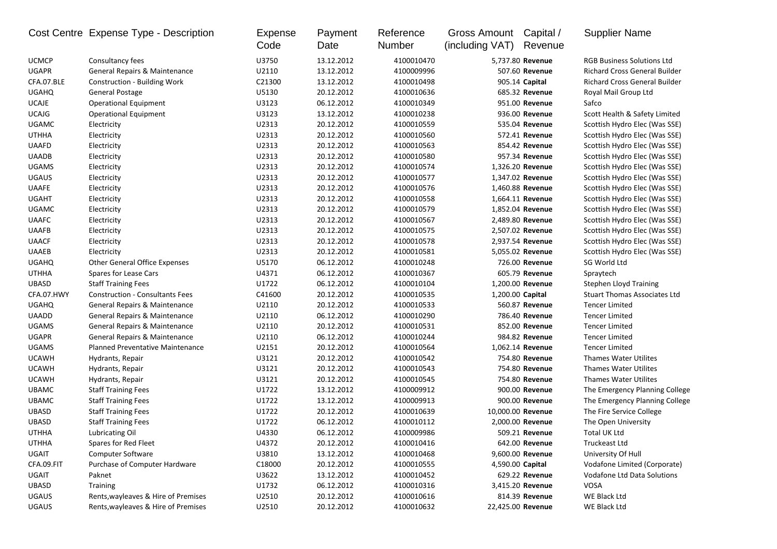| <b>UCMCP</b><br>Consultancy fees<br>U3750<br>13.12.2012<br>4100010470<br><b>RGB Business Solutions Ltd</b><br>5,737.80 Revenue<br><b>UGAPR</b><br>General Repairs & Maintenance<br>U2110<br>13.12.2012<br>4100009996<br>507.60 Revenue<br><b>Richard Cross General Builder</b> |  |
|--------------------------------------------------------------------------------------------------------------------------------------------------------------------------------------------------------------------------------------------------------------------------------|--|
|                                                                                                                                                                                                                                                                                |  |
|                                                                                                                                                                                                                                                                                |  |
| CFA.07.BLE<br>Construction - Building Work<br>C21300<br>13.12.2012<br>4100010498<br>905.14 Capital<br><b>Richard Cross General Builder</b>                                                                                                                                     |  |
| <b>UGAHQ</b><br>U5130<br>20.12.2012<br>685.32 Revenue<br><b>General Postage</b><br>4100010636<br>Royal Mail Group Ltd                                                                                                                                                          |  |
| <b>UCAJE</b><br>U3123<br><b>Operational Equipment</b><br>06.12.2012<br>4100010349<br>951.00 Revenue<br>Safco                                                                                                                                                                   |  |
| <b>UCAJG</b><br>U3123<br>936.00 Revenue<br>Scott Health & Safety Limited<br><b>Operational Equipment</b><br>13.12.2012<br>4100010238                                                                                                                                           |  |
| <b>UGAMC</b><br>U2313<br>20.12.2012<br>4100010559<br>Electricity<br>535.04 Revenue<br>Scottish Hydro Elec (Was SSE)                                                                                                                                                            |  |
| U2313<br>20.12.2012<br><b>UTHHA</b><br>Electricity<br>4100010560<br>572.41 Revenue<br>Scottish Hydro Elec (Was SSE)                                                                                                                                                            |  |
| U2313<br>UAAFD<br>854.42 Revenue<br>20.12.2012<br>4100010563<br>Scottish Hydro Elec (Was SSE)<br>Electricity                                                                                                                                                                   |  |
| U2313<br>20.12.2012<br>957.34 Revenue<br><b>UAADB</b><br>Electricity<br>4100010580<br>Scottish Hydro Elec (Was SSE)                                                                                                                                                            |  |
| U2313<br>20.12.2012<br>1,326.20 Revenue<br><b>UGAMS</b><br>Electricity<br>4100010574<br>Scottish Hydro Elec (Was SSE)                                                                                                                                                          |  |
| <b>UGAUS</b><br>U2313<br>20.12.2012<br>1,347.02 Revenue<br>Electricity<br>4100010577<br>Scottish Hydro Elec (Was SSE)                                                                                                                                                          |  |
| U2313<br><b>UAAFE</b><br>20.12.2012<br>1,460.88 Revenue<br>Electricity<br>4100010576<br>Scottish Hydro Elec (Was SSE)                                                                                                                                                          |  |
| <b>UGAHT</b><br>U2313<br>20.12.2012<br>Electricity<br>4100010558<br>1,664.11 Revenue<br>Scottish Hydro Elec (Was SSE)                                                                                                                                                          |  |
| <b>UGAMC</b><br>U2313<br>20.12.2012<br>4100010579<br>Electricity<br>1,852.04 Revenue<br>Scottish Hydro Elec (Was SSE)                                                                                                                                                          |  |
| U2313<br><b>UAAFC</b><br>20.12.2012<br>Electricity<br>4100010567<br>2,489.80 Revenue<br>Scottish Hydro Elec (Was SSE)                                                                                                                                                          |  |
| <b>UAAFB</b><br>U2313<br>20.12.2012<br>Electricity<br>4100010575<br>2,507.02 Revenue<br>Scottish Hydro Elec (Was SSE)                                                                                                                                                          |  |
| U2313<br>20.12.2012<br><b>UAACF</b><br>Electricity<br>4100010578<br>2,937.54 Revenue<br>Scottish Hydro Elec (Was SSE)                                                                                                                                                          |  |
| U2313<br><b>UAAEB</b><br>20.12.2012<br>Electricity<br>4100010581<br>5,055.02 Revenue<br>Scottish Hydro Elec (Was SSE)                                                                                                                                                          |  |
| <b>Other General Office Expenses</b><br>U5170<br>06.12.2012<br>726.00 Revenue<br><b>UGAHQ</b><br>4100010248<br>SG World Ltd                                                                                                                                                    |  |
| U4371<br>06.12.2012<br>605.79 Revenue<br><b>UTHHA</b><br>Spares for Lease Cars<br>4100010367<br>Spraytech                                                                                                                                                                      |  |
| U1722<br><b>UBASD</b><br><b>Staff Training Fees</b><br>06.12.2012<br>1,200.00 Revenue<br>4100010104<br><b>Stephen Lloyd Training</b>                                                                                                                                           |  |
| CFA.07.HWY<br>C41600<br>20.12.2012<br>1,200.00 Capital<br><b>Construction - Consultants Fees</b><br>4100010535<br><b>Stuart Thomas Associates Ltd</b>                                                                                                                          |  |
| General Repairs & Maintenance<br><b>UGAHQ</b><br>U2110<br>20.12.2012<br>4100010533<br>560.87 Revenue<br><b>Tencer Limited</b>                                                                                                                                                  |  |
| <b>UAADD</b><br>U2110<br>06.12.2012<br>4100010290<br>786.40 Revenue<br>General Repairs & Maintenance<br><b>Tencer Limited</b>                                                                                                                                                  |  |
| <b>UGAMS</b><br>General Repairs & Maintenance<br>U2110<br>20.12.2012<br>4100010531<br>852.00 Revenue<br><b>Tencer Limited</b>                                                                                                                                                  |  |
| <b>UGAPR</b><br>General Repairs & Maintenance<br>U2110<br>06.12.2012<br>4100010244<br>984.82 Revenue<br><b>Tencer Limited</b>                                                                                                                                                  |  |
| <b>UGAMS</b><br>U2151<br>20.12.2012<br><b>Tencer Limited</b><br>Planned Preventative Maintenance<br>4100010564<br>1,062.14 Revenue                                                                                                                                             |  |
| <b>UCAWH</b><br>U3121<br>20.12.2012<br>754.80 Revenue<br>Hydrants, Repair<br>4100010542<br><b>Thames Water Utilites</b>                                                                                                                                                        |  |
| <b>UCAWH</b><br>U3121<br>20.12.2012<br>4100010543<br>754.80 Revenue<br><b>Thames Water Utilites</b><br>Hydrants, Repair                                                                                                                                                        |  |
| U3121<br><b>UCAWH</b><br>20.12.2012<br>4100010545<br>754.80 Revenue<br><b>Thames Water Utilites</b><br>Hydrants, Repair                                                                                                                                                        |  |
| U1722<br>900.00 Revenue<br><b>UBAMC</b><br><b>Staff Training Fees</b><br>13.12.2012<br>4100009912<br>The Emergency Planning College                                                                                                                                            |  |
| <b>UBAMC</b><br>U1722<br><b>Staff Training Fees</b><br>13.12.2012<br>4100009913<br>900.00 Revenue<br>The Emergency Planning College                                                                                                                                            |  |
| UBASD<br><b>Staff Training Fees</b><br>U1722<br>20.12.2012<br>4100010639<br>10,000.00 Revenue<br>The Fire Service College                                                                                                                                                      |  |
| UBASD<br>U1722<br>06.12.2012<br>2,000.00 Revenue<br><b>Staff Training Fees</b><br>4100010112<br>The Open University                                                                                                                                                            |  |
| <b>UTHHA</b><br>U4330<br>06.12.2012<br>4100009986<br>509.21 Revenue<br>Total UK Ltd<br>Lubricating Oil                                                                                                                                                                         |  |
| <b>UTHHA</b><br>Spares for Red Fleet<br>20.12.2012<br>642.00 Revenue<br>Truckeast Ltd<br>U4372<br>4100010416                                                                                                                                                                   |  |
| UGAIT<br>U3810<br><b>Computer Software</b><br>13.12.2012<br>4100010468<br>9,600.00 Revenue<br>University Of Hull                                                                                                                                                               |  |
| CFA.09.FIT<br>Purchase of Computer Hardware<br>C18000<br>20.12.2012<br>4100010555<br>4,590.00 Capital<br>Vodafone Limited (Corporate)                                                                                                                                          |  |
| <b>UGAIT</b><br>U3622<br>13.12.2012<br>4100010452<br>629.22 Revenue<br>Vodafone Ltd Data Solutions<br>Paknet                                                                                                                                                                   |  |
| U1732<br>UBASD<br>06.12.2012<br>4100010316<br>3,415.20 Revenue<br>VOSA<br><b>Training</b>                                                                                                                                                                                      |  |
| U2510<br><b>UGAUS</b><br>Rents, wayleaves & Hire of Premises<br>20.12.2012<br>4100010616<br>814.39 Revenue<br>WE Black Ltd                                                                                                                                                     |  |
| <b>UGAUS</b><br>Rents, wayleaves & Hire of Premises<br>U2510<br>4100010632<br>22,425.00 Revenue<br>WE Black Ltd<br>20.12.2012                                                                                                                                                  |  |